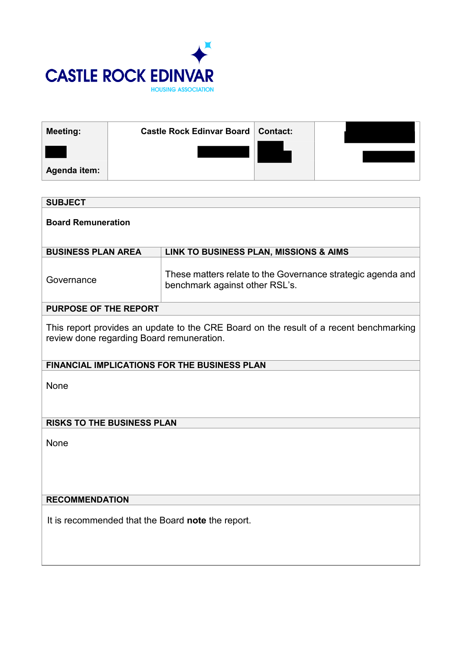

| <b>Meeting:</b> | <b>Castle Rock Edinvar Board   Contact:</b> |  |
|-----------------|---------------------------------------------|--|
|                 |                                             |  |
| Agenda item:    |                                             |  |

| <b>SUBJECT</b>                                                                                                                      |                                                                                               |  |  |  |
|-------------------------------------------------------------------------------------------------------------------------------------|-----------------------------------------------------------------------------------------------|--|--|--|
| <b>Board Remuneration</b>                                                                                                           |                                                                                               |  |  |  |
| <b>BUSINESS PLAN AREA</b>                                                                                                           | LINK TO BUSINESS PLAN, MISSIONS & AIMS                                                        |  |  |  |
| Governance                                                                                                                          | These matters relate to the Governance strategic agenda and<br>benchmark against other RSL's. |  |  |  |
| <b>PURPOSE OF THE REPORT</b>                                                                                                        |                                                                                               |  |  |  |
| This report provides an update to the CRE Board on the result of a recent benchmarking<br>review done regarding Board remuneration. |                                                                                               |  |  |  |
| <b>FINANCIAL IMPLICATIONS FOR THE BUSINESS PLAN</b>                                                                                 |                                                                                               |  |  |  |
| None                                                                                                                                |                                                                                               |  |  |  |
| <b>RISKS TO THE BUSINESS PLAN</b>                                                                                                   |                                                                                               |  |  |  |
| <b>None</b>                                                                                                                         |                                                                                               |  |  |  |
| <b>RECOMMENDATION</b>                                                                                                               |                                                                                               |  |  |  |
| It is recommended that the Board note the report.                                                                                   |                                                                                               |  |  |  |